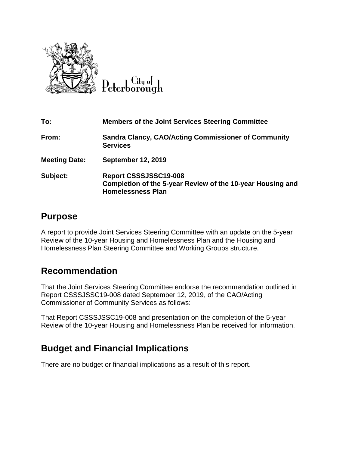

 $C$ ity of

| To:                  | <b>Members of the Joint Services Steering Committee</b>                                                         |
|----------------------|-----------------------------------------------------------------------------------------------------------------|
| From:                | <b>Sandra Clancy, CAO/Acting Commissioner of Community</b><br><b>Services</b>                                   |
| <b>Meeting Date:</b> | <b>September 12, 2019</b>                                                                                       |
| Subject:             | Report CSSSJSSC19-008<br>Completion of the 5-year Review of the 10-year Housing and<br><b>Homelessness Plan</b> |

## **Purpose**

A report to provide Joint Services Steering Committee with an update on the 5-year Review of the 10-year Housing and Homelessness Plan and the Housing and Homelessness Plan Steering Committee and Working Groups structure.

## **Recommendation**

That the Joint Services Steering Committee endorse the recommendation outlined in Report CSSSJSSC19-008 dated September 12, 2019, of the CAO/Acting Commissioner of Community Services as follows:

That Report CSSSJSSC19-008 and presentation on the completion of the 5-year Review of the 10-year Housing and Homelessness Plan be received for information.

# **Budget and Financial Implications**

There are no budget or financial implications as a result of this report.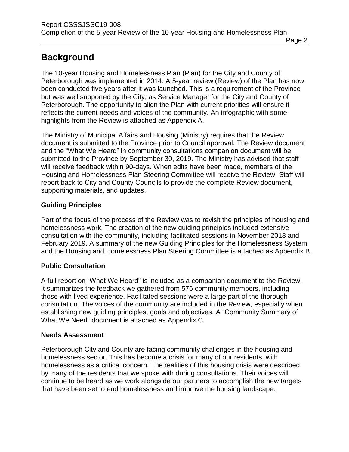# **Background**

The 10-year Housing and Homelessness Plan (Plan) for the City and County of Peterborough was implemented in 2014. A 5-year review (Review) of the Plan has now been conducted five years after it was launched. This is a requirement of the Province but was well supported by the City, as Service Manager for the City and County of Peterborough. The opportunity to align the Plan with current priorities will ensure it reflects the current needs and voices of the community. An infographic with some highlights from the Review is attached as Appendix A.

The Ministry of Municipal Affairs and Housing (Ministry) requires that the Review document is submitted to the Province prior to Council approval. The Review document and the "What We Heard" in community consultations companion document will be submitted to the Province by September 30, 2019. The Ministry has advised that staff will receive feedback within 90-days. When edits have been made, members of the Housing and Homelessness Plan Steering Committee will receive the Review. Staff will report back to City and County Councils to provide the complete Review document, supporting materials, and updates.

### **Guiding Principles**

Part of the focus of the process of the Review was to revisit the principles of housing and homelessness work. The creation of the new guiding principles included extensive consultation with the community, including facilitated sessions in November 2018 and February 2019. A summary of the new Guiding Principles for the Homelessness System and the Housing and Homelessness Plan Steering Committee is attached as Appendix B.

### **Public Consultation**

A full report on "What We Heard" is included as a companion document to the Review. It summarizes the feedback we gathered from 576 community members, including those with lived experience. Facilitated sessions were a large part of the thorough consultation. The voices of the community are included in the Review, especially when establishing new guiding principles, goals and objectives. A "Community Summary of What We Need" document is attached as Appendix C.

### **Needs Assessment**

Peterborough City and County are facing community challenges in the housing and homelessness sector. This has become a crisis for many of our residents, with homelessness as a critical concern. The realities of this housing crisis were described by many of the residents that we spoke with during consultations. Their voices will continue to be heard as we work alongside our partners to accomplish the new targets that have been set to end homelessness and improve the housing landscape.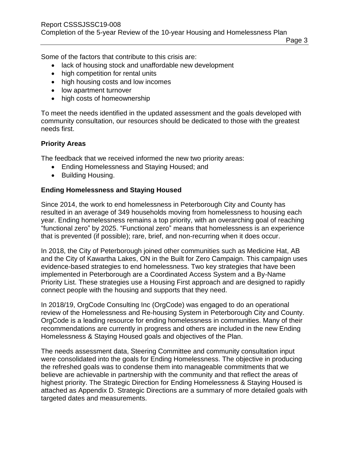Page 3

Some of the factors that contribute to this crisis are:

- lack of housing stock and unaffordable new development
- high competition for rental units
- high housing costs and low incomes
- low apartment turnover
- high costs of homeownership

To meet the needs identified in the updated assessment and the goals developed with community consultation, our resources should be dedicated to those with the greatest needs first.

#### **Priority Areas**

The feedback that we received informed the new two priority areas:

- Ending Homelessness and Staying Housed; and
- Building Housing.

#### **Ending Homelessness and Staying Housed**

Since 2014, the work to end homelessness in Peterborough City and County has resulted in an average of 349 households moving from homelessness to housing each year. Ending homelessness remains a top priority, with an overarching goal of reaching "functional zero" by 2025. "Functional zero" means that homelessness is an experience that is prevented (if possible); rare, brief, and non-recurring when it does occur.

In 2018, the City of Peterborough joined other communities such as Medicine Hat, AB and the City of Kawartha Lakes, ON in the Built for Zero Campaign. This campaign uses evidence-based strategies to end homelessness. Two key strategies that have been implemented in Peterborough are a Coordinated Access System and a By-Name Priority List. These strategies use a Housing First approach and are designed to rapidly connect people with the housing and supports that they need.

In 2018/19, OrgCode Consulting Inc (OrgCode) was engaged to do an operational review of the Homelessness and Re-housing System in Peterborough City and County. OrgCode is a leading resource for ending homelessness in communities. Many of their recommendations are currently in progress and others are included in the new Ending Homelessness & Staying Housed goals and objectives of the Plan.

The needs assessment data, Steering Committee and community consultation input were consolidated into the goals for Ending Homelessness. The objective in producing the refreshed goals was to condense them into manageable commitments that we believe are achievable in partnership with the community and that reflect the areas of highest priority. The Strategic Direction for Ending Homelessness & Staying Housed is attached as Appendix D. Strategic Directions are a summary of more detailed goals with targeted dates and measurements.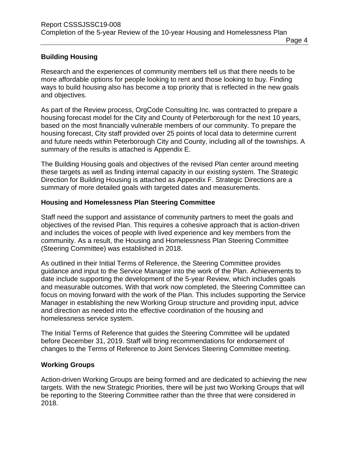#### **Building Housing**

Research and the experiences of community members tell us that there needs to be more affordable options for people looking to rent and those looking to buy. Finding ways to build housing also has become a top priority that is reflected in the new goals and objectives.

As part of the Review process, OrgCode Consulting Inc. was contracted to prepare a housing forecast model for the City and County of Peterborough for the next 10 years, based on the most financially vulnerable members of our community. To prepare the housing forecast, City staff provided over 25 points of local data to determine current and future needs within Peterborough City and County, including all of the townships. A summary of the results is attached is Appendix E.

The Building Housing goals and objectives of the revised Plan center around meeting these targets as well as finding internal capacity in our existing system. The Strategic Direction for Building Housing is attached as Appendix F. Strategic Directions are a summary of more detailed goals with targeted dates and measurements.

#### **Housing and Homelessness Plan Steering Committee**

Staff need the support and assistance of community partners to meet the goals and objectives of the revised Plan. This requires a cohesive approach that is action-driven and includes the voices of people with lived experience and key members from the community. As a result, the Housing and Homelessness Plan Steering Committee (Steering Committee) was established in 2018.

As outlined in their Initial Terms of Reference, the Steering Committee provides guidance and input to the Service Manager into the work of the Plan. Achievements to date include supporting the development of the 5-year Review, which includes goals and measurable outcomes. With that work now completed, the Steering Committee can focus on moving forward with the work of the Plan. This includes supporting the Service Manager in establishing the new Working Group structure and providing input, advice and direction as needed into the effective coordination of the housing and homelessness service system.

The Initial Terms of Reference that guides the Steering Committee will be updated before December 31, 2019. Staff will bring recommendations for endorsement of changes to the Terms of Reference to Joint Services Steering Committee meeting.

#### **Working Groups**

Action-driven Working Groups are being formed and are dedicated to achieving the new targets. With the new Strategic Priorities, there will be just two Working Groups that will be reporting to the Steering Committee rather than the three that were considered in 2018.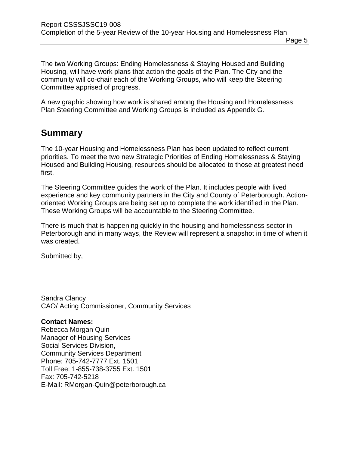The two Working Groups: Ending Homelessness & Staying Housed and Building Housing, will have work plans that action the goals of the Plan. The City and the community will co-chair each of the Working Groups, who will keep the Steering Committee apprised of progress.

A new graphic showing how work is shared among the Housing and Homelessness Plan Steering Committee and Working Groups is included as Appendix G.

### **Summary**

The 10-year Housing and Homelessness Plan has been updated to reflect current priorities. To meet the two new Strategic Priorities of Ending Homelessness & Staying Housed and Building Housing, resources should be allocated to those at greatest need first.

The Steering Committee guides the work of the Plan. It includes people with lived experience and key community partners in the City and County of Peterborough. Actionoriented Working Groups are being set up to complete the work identified in the Plan. These Working Groups will be accountable to the Steering Committee.

There is much that is happening quickly in the housing and homelessness sector in Peterborough and in many ways, the Review will represent a snapshot in time of when it was created.

Submitted by,

Sandra Clancy CAO/ Acting Commissioner, Community Services

#### **Contact Names:**

Rebecca Morgan Quin Manager of Housing Services Social Services Division, Community Services Department Phone: 705-742-7777 Ext. 1501 Toll Free: 1-855-738-3755 Ext. 1501 Fax: 705-742-5218 E-Mail: RMorgan-Quin@peterborough.ca